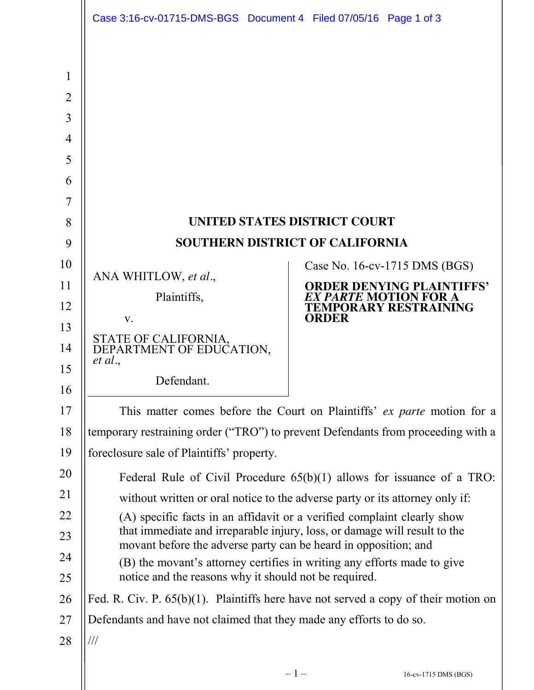<span id="page-0-0"></span>

|                | Case 3:16-cv-01715-DMS-BGS Document 4 Filed 07/05/16 Page 1 of 3                                                                                        |                                                                 |
|----------------|---------------------------------------------------------------------------------------------------------------------------------------------------------|-----------------------------------------------------------------|
|                |                                                                                                                                                         |                                                                 |
| 1              |                                                                                                                                                         |                                                                 |
| $\overline{2}$ |                                                                                                                                                         |                                                                 |
| 3              |                                                                                                                                                         |                                                                 |
| 4              |                                                                                                                                                         |                                                                 |
| 5              |                                                                                                                                                         |                                                                 |
| 6              |                                                                                                                                                         |                                                                 |
| 7              |                                                                                                                                                         |                                                                 |
| 8              | UNITED STATES DISTRICT COURT                                                                                                                            |                                                                 |
| 9              | SOUTHERN DISTRICT OF CALIFORNIA                                                                                                                         |                                                                 |
| 10             | ANA WHITLOW, et al.,                                                                                                                                    | Case No. 16-cv-1715 DMS (BGS)                                   |
| 11             | Plaintiffs,                                                                                                                                             | <b>ORDER DENYING PLAINTIFFS'</b><br><b>X PARTE MOTION FOR A</b> |
| 12             | $V_{\star}$                                                                                                                                             | <b>TEMPORARY RESTRAINING</b><br><b>ORDER</b>                    |
| 13             |                                                                                                                                                         |                                                                 |
| 14             | STATE OF CALIFORNIA, DEPARTMENT OF EDUCATION,<br>et al.                                                                                                 |                                                                 |
| 15             | Defendant.                                                                                                                                              |                                                                 |
| 16             |                                                                                                                                                         |                                                                 |
| 17             | This matter comes before the Court on Plaintiffs' ex parte motion for a                                                                                 |                                                                 |
| 18<br>19       | temporary restraining order ("TRO") to prevent Defendants from proceeding with a                                                                        |                                                                 |
| 20             | foreclosure sale of Plaintiffs' property.                                                                                                               |                                                                 |
| 21             | Federal Rule of Civil Procedure $65(b)(1)$ allows for issuance of a TRO:                                                                                |                                                                 |
| 22             | without written or oral notice to the adverse party or its attorney only if:<br>(A) specific facts in an affidavit or a verified complaint clearly show |                                                                 |
| 23             | that immediate and irreparable injury, loss, or damage will result to the                                                                               |                                                                 |
| 24             | movant before the adverse party can be heard in opposition; and                                                                                         |                                                                 |
| 25             | (B) the movant's attorney certifies in writing any efforts made to give<br>notice and the reasons why it should not be required.                        |                                                                 |
| 26             | Fed. R. Civ. P. $65(b)(1)$ . Plaintiffs here have not served a copy of their motion on                                                                  |                                                                 |
| 27             | Defendants and have not claimed that they made any efforts to do so.                                                                                    |                                                                 |
| 28             | $/ \! / \! /$                                                                                                                                           |                                                                 |
|                |                                                                                                                                                         |                                                                 |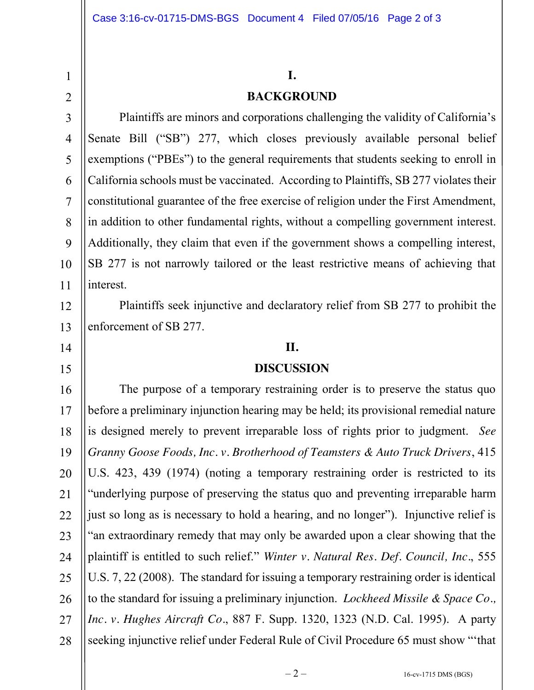1

2

14

15

# **I. BACKGROUND**

3 4 5 6 7 8 9 10 11 Plaintiffs are minors and corporations challenging the validity of California's Senate Bill ("SB") 277, which closes previously available personal belief exemptions ("PBEs") to the general requirements that students seeking to enroll in California schools must be vaccinated. According to Plaintiffs, SB 277 violates their constitutional guarantee of the free exercise of religion under the First Amendment, in addition to other fundamental rights, without a compelling government interest. Additionally, they claim that even if the government shows a compelling interest, SB 277 is not narrowly tailored or the least restrictive means of achieving that interest.

12 13 Plaintiffs seek injunctive and declaratory relief from SB 277 to prohibit the enforcement of SB 277.

## **II.**

#### **DISCUSSION**

16 17 18 19 20 21 22 23 24 25 26 27 28 The purpose of a temporary restraining order is to preserve the status quo before a preliminary injunction hearing may be held; its provisional remedial nature is designed merely to prevent irreparable loss of rights prior to judgment. *See Granny Goose Foods, Inc. v. Brotherhood of Teamsters & Auto Truck Drivers*, 415 U.S. 423, 439 (1974) (noting a temporary restraining order is restricted to its "underlying purpose of preserving the status quo and preventing irreparable harm just so long as is necessary to hold a hearing, and no longer"). Injunctive relief is "an extraordinary remedy that may only be awarded upon a clear showing that the plaintiff is entitled to such relief." *Winter v. Natural Res. Def. Council, Inc.*, 555 U.S. 7, 22 (2008). The standard for issuing a temporary restraining order is identical to the standard for issuing a preliminary injunction. *Lockheed Missile & Space Co., Inc. v. Hughes Aircraft Co.*, 887 F. Supp. 1320, 1323 (N.D. Cal. 1995). A party seeking injunctive relief under Federal Rule of Civil Procedure 65 must show "'that